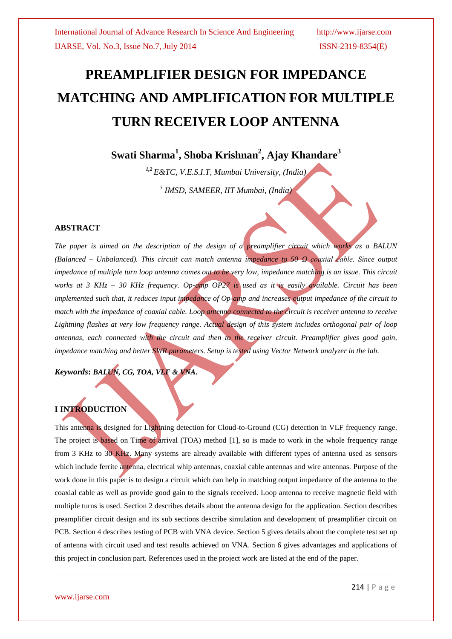# **PREAMPLIFIER DESIGN FOR IMPEDANCE MATCHING AND AMPLIFICATION FOR MULTIPLE TURN RECEIVER LOOP ANTENNA**

**Swati Sharma<sup>1</sup> , Shoba Krishnan<sup>2</sup> , Ajay Khandare<sup>3</sup>**

*1,2 E&TC, V.E.S.I.T, Mumbai University, (India) 3 IMSD, SAMEER, IIT Mumbai, (India)*

#### **ABSTRACT**

*The paper is aimed on the description of the design of a preamplifier circuit which works as a BALUN (Balanced – Unbalanced). This circuit can match antenna impedance to 50 Ω coaxial cable. Since output impedance of multiple turn loop antenna comes out to be very low, impedance matching is an issue. This circuit works at 3 KHz – 30 KHz frequency. Op-amp OP27 is used as it is easily available. Circuit has been implemented such that, it reduces input impedance of Op-amp and increases output impedance of the circuit to match with the impedance of coaxial cable. Loop antenna connected to the circuit is receiver antenna to receive Lightning flashes at very low frequency range. Actual design of this system includes orthogonal pair of loop antennas, each connected with the circuit and then to the receiver circuit. Preamplifier gives good gain, impedance matching and better SWR parameters. Setup is tested using Vector Network analyzer in the lab.*

*Keywords***:** *BALUN, CG, TOA, VLF & VNA***.**

### **I INTRODUCTION**

This antenna is designed for Lightning detection for Cloud-to-Ground (CG) detection in VLF frequency range. The project is based on Time of arrival (TOA) method [1], so is made to work in the whole frequency range from 3 KHz to 30 KHz. Many systems are already available with different types of antenna used as sensors which include ferrite antenna, electrical whip antennas, coaxial cable antennas and wire antennas. Purpose of the work done in this paper is to design a circuit which can help in matching output impedance of the antenna to the coaxial cable as well as provide good gain to the signals received. Loop antenna to receive magnetic field with multiple turns is used. Section 2 describes details about the antenna design for the application. Section describes preamplifier circuit design and its sub sections describe simulation and development of preamplifier circuit on PCB. Section 4 describes testing of PCB with VNA device. Section 5 gives details about the complete test set up of antenna with circuit used and test results achieved on VNA. Section 6 gives advantages and applications of this project in conclusion part. References used in the project work are listed at the end of the paper.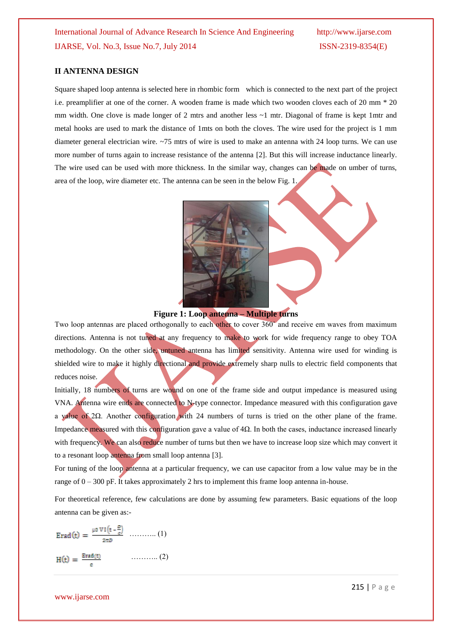#### **II ANTENNA DESIGN**

Square shaped loop antenna is selected here in rhombic form which is connected to the next part of the project i.e. preamplifier at one of the corner. A wooden frame is made which two wooden cloves each of 20 mm \* 20 mm width. One clove is made longer of 2 mtrs and another less  $\sim$ 1 mtr. Diagonal of frame is kept 1mtr and metal hooks are used to mark the distance of 1mts on both the cloves. The wire used for the project is 1 mm diameter general electrician wire. ~75 mtrs of wire is used to make an antenna with 24 loop turns. We can use more number of turns again to increase resistance of the antenna [2]. But this will increase inductance linearly. The wire used can be used with more thickness. In the similar way, changes can be made on umber of turns, area of the loop, wire diameter etc. The antenna can be seen in the below Fig. 1.



#### **Figure 1: Loop antenna – Multiple turns**

Two loop antennas are placed orthogonally to each other to cover  $360^{\circ}$  and receive em waves from maximum directions. Antenna is not tuned at any frequency to make to work for wide frequency range to obey TOA methodology. On the other side, untuned antenna has limited sensitivity. Antenna wire used for winding is shielded wire to make it highly directional and provide extremely sharp nulls to electric field components that reduces noise.

Initially, 18 numbers of turns are wound on one of the frame side and output impedance is measured using VNA. Antenna wire ends are connected to N-type connector. Impedance measured with this configuration gave a value of 2Ω. Another configuration with 24 numbers of turns is tried on the other plane of the frame. Impedance measured with this configuration gave a value of  $4\Omega$ . In both the cases, inductance increased linearly with frequency. We can also reduce number of turns but then we have to increase loop size which may convert it to a resonant loop antenna from small loop antenna [3].

For tuning of the loop antenna at a particular frequency, we can use capacitor from a low value may be in the range of  $0 - 300$  pF. It takes approximately 2 hrs to implement this frame loop antenna in-house.

For theoretical reference, few calculations are done by assuming few parameters. Basic equations of the loop antenna can be given as:-

……….. (1) ……….. (2)

#### www.ijarse.com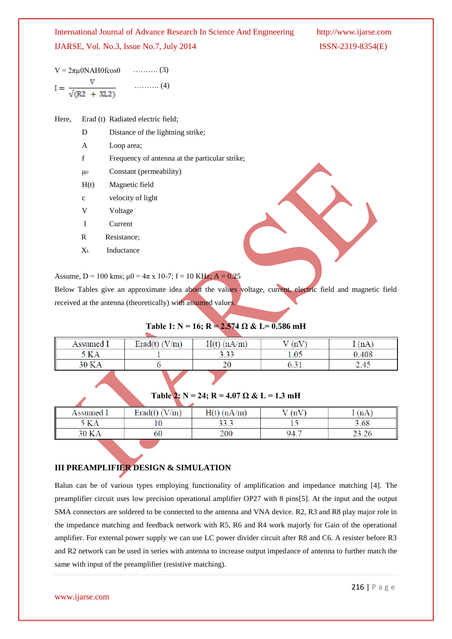| $V = 2\pi\mu$ 0NAH0fcos $\theta$ |                                   | $\ldots \ldots \ldots (3)$ |
|----------------------------------|-----------------------------------|----------------------------|
|                                  |                                   | $\ldots \ldots \ldots$ (4) |
|                                  | $I = \frac{1}{\sqrt{(R2 + XL2)}}$ |                            |

| Here, |  | Erad (t) Radiated electric field; |
|-------|--|-----------------------------------|
|-------|--|-----------------------------------|

- D Distance of the lightning strike;
- A Loop area;
- f Frequency of antenna at the particular strike;
- μ<sup>0</sup> Constant (permeability)
- H(t) Magnetic field
- c velocity of light
- V Voltage
- I Current
- R Resistance;
- XL Inductance

#### Assume,  $D = 100$  kms;  $\mu$ 0 = 4 $\pi$  x 10-7; f = 10 KHz; A = 0.25

Below Tables give an approximate idea about the values voltage, current, electric field and magnetic field received at the antenna (theoretically) with assumed values.

#### Table 1: N = 16; R =  $2.574 \Omega \& L = 0.586 \text{ mH}$

| Assumed I | Erad(t) $(V/m)$ | (nA/m) | (nV) | T(nA) |
|-----------|-----------------|--------|------|-------|
| ۲ KA      |                 | 3.33   | 1.05 | 0.408 |
| 30 KA     |                 | 20     | v.v  | 2.45  |
|           |                 |        |      |       |

#### Table 2:  $N = 24$ ;  $R = 4.07 \Omega \& L = 1.3 \text{ mH}$

| Assumed 1 | $\mathrm{W/m}$<br>$\text{Erad}(\mathbf{t})$ | $H(t)$ (nA/m) | (nV)   | $\mu$ (nA, |
|-----------|---------------------------------------------|---------------|--------|------------|
| 5 KA      | 10                                          | 33.3          | $\sim$ | 3.68       |
| 30 KA     | 60                                          | 200           | 94.7   | بالمكروب   |

### **III PREAMPLIFIER DESIGN & SIMULATION**

Balun can be of various types employing functionality of amplification and impedance matching [4]. The preamplifier circuit uses low precision operational amplifier OP27 with 8 pins[5]. At the input and the output SMA connectors are soldered to be connected to the antenna and VNA device. R2, R3 and R8 play major role in the impedance matching and feedback network with R5, R6 and R4 work majorly for Gain of the operational amplifier. For external power supply we can use LC power divider circuit after R8 and C6. A resister before R3 and R2 network can be used in series with antenna to increase output impedance of antenna to further match the same with input of the preamplifier (resistive matching).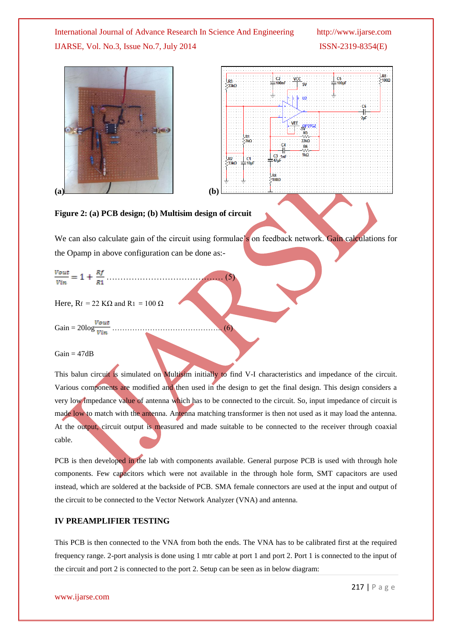



#### **Figure 2: (a) PCB design; (b) Multisim design of circuit**

We can also calculate gain of the circuit using formulae's on feedback network. Gain calculations for the Opamp in above configuration can be done as:-

Here,  $R_f = 22$  K $\Omega$  and R<sub>1</sub> = 100  $\Omega$ 

Gain = 20log …………………………………….. (6)

 $Gain = 47dB$ 

This balun circuit is simulated on Multisim initially to find V-I characteristics and impedance of the circuit. Various components are modified and then used in the design to get the final design. This design considers a very low impedance value of antenna which has to be connected to the circuit. So, input impedance of circuit is made low to match with the antenna. Antenna matching transformer is then not used as it may load the antenna. At the output, circuit output is measured and made suitable to be connected to the receiver through coaxial cable.

PCB is then developed in the lab with components available. General purpose PCB is used with through hole components. Few capacitors which were not available in the through hole form, SMT capacitors are used instead, which are soldered at the backside of PCB. SMA female connectors are used at the input and output of the circuit to be connected to the Vector Network Analyzer (VNA) and antenna.

#### **IV PREAMPLIFIER TESTING**

This PCB is then connected to the VNA from both the ends. The VNA has to be calibrated first at the required frequency range. 2-port analysis is done using 1 mtr cable at port 1 and port 2. Port 1 is connected to the input of the circuit and port 2 is connected to the port 2. Setup can be seen as in below diagram:

www.ijarse.com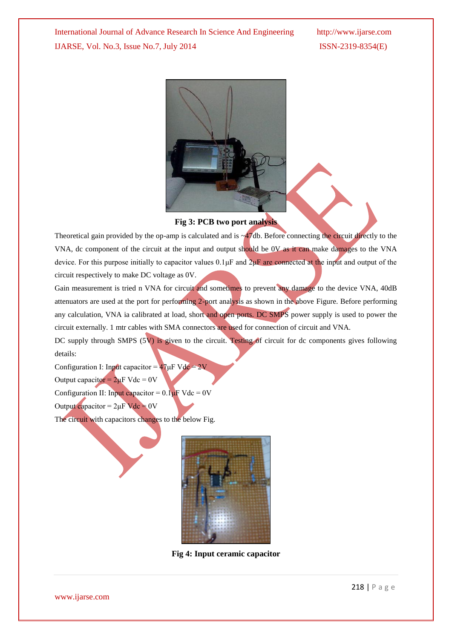

#### **Fig 3: PCB two port analysis**

Theoretical gain provided by the op-amp is calculated and is ~47db. Before connecting the circuit directly to the VNA, dc component of the circuit at the input and output should be 0V as it can make damages to the VNA device. For this purpose initially to capacitor values  $0.1 \mu$ F and  $2 \mu$ F are connected at the input and output of the circuit respectively to make DC voltage as 0V.

Gain measurement is tried n VNA for circuit and sometimes to prevent any damage to the device VNA, 40dB attenuators are used at the port for performing 2-port analysis as shown in the above Figure. Before performing any calculation, VNA ia calibrated at load, short and open ports. DC SMPS power supply is used to power the circuit externally. 1 mtr cables with SMA connectors are used for connection of circuit and VNA.

DC supply through SMPS  $(5V)$  is given to the circuit. Testing of circuit for dc components gives following details:

Configuration I: Input capacitor =  $47 \mu$ F Vdc = 2V

Output capacitor =  $2\mu$ F Vdc = 0V

Configuration II: Input capacitor =  $0.1 \mu$ F Vdc = 0V

Output capacitor =  $2\mu$ F Vdc = 0V

The circuit with capacitors changes to the below Fig.



**Fig 4: Input ceramic capacitor**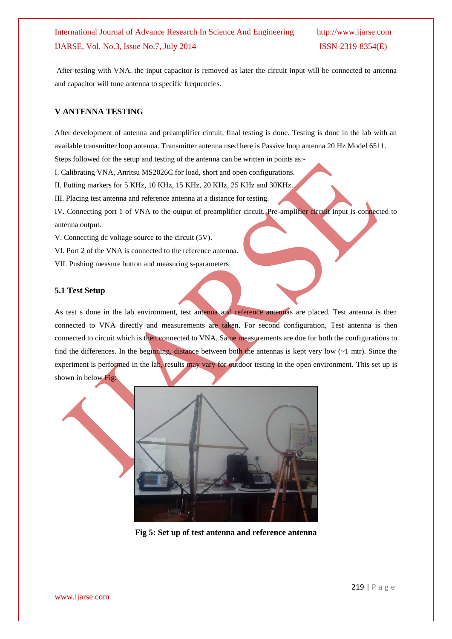After testing with VNA, the input capacitor is removed as later the circuit input will be connected to antenna and capacitor will tune antenna to specific frequencies.

#### **V ANTENNA TESTING**

After development of antenna and preamplifier circuit, final testing is done. Testing is done in the lab with an available transmitter loop antenna. Transmitter antenna used here is Passive loop antenna 20 Hz Model 6511.

Steps followed for the setup and testing of the antenna can be written in points as:-

I. Calibrating VNA, Anritsu MS2026C for load, short and open configurations.

II. Putting markers for 5 KHz, 10 KHz, 15 KHz, 20 KHz, 25 KHz and 30KHz.

III. Placing test antenna and reference antenna at a distance for testing.

IV. Connecting port 1 of VNA to the output of preamplifier circuit. Pre-amplifier circuit input is connected to antenna output.

V. Connecting dc voltage source to the circuit (5V).

VI. Port 2 of the VNA is connected to the reference antenna.

VII. Pushing measure button and measuring s-parameters

#### **5.1 Test Setup**

As test s done in the lab environment, test antenna and reference antennas are placed. Test antenna is then connected to VNA directly and measurements are taken. For second configuration, Test antenna is then connected to circuit which is then connected to VNA. Same measurements are doe for both the configurations to find the differences. In the beginning, distance between both the antennas is kept very low  $(-1 \text{ mtr})$ . Since the experiment is performed in the lab, results may vary for outdoor testing in the open environment. This set up is shown in below Fig:



**Fig 5: Set up of test antenna and reference antenna**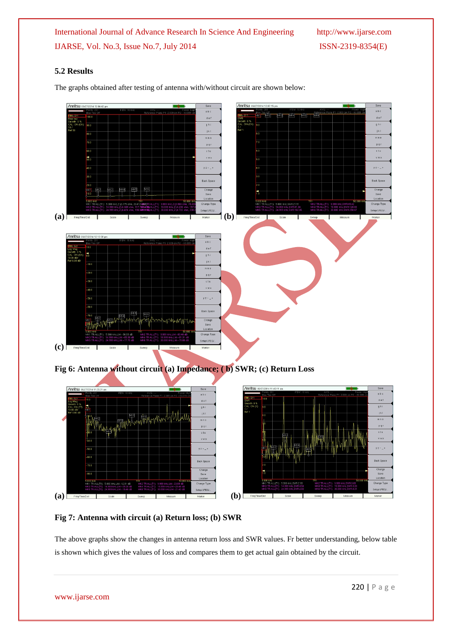#### **5.2 Results**

The graphs obtained after testing of antenna with/without circuit are shown below:



**Fig 6: Antenna without circuit (a) Impedance; ( b) SWR; (c) Return Loss** 





**Fig 7: Antenna with circuit (a) Return loss; (b) SWR**

The above graphs show the changes in antenna return loss and SWR values. Fr better understanding, below table is shown which gives the values of loss and compares them to get actual gain obtained by the circuit.